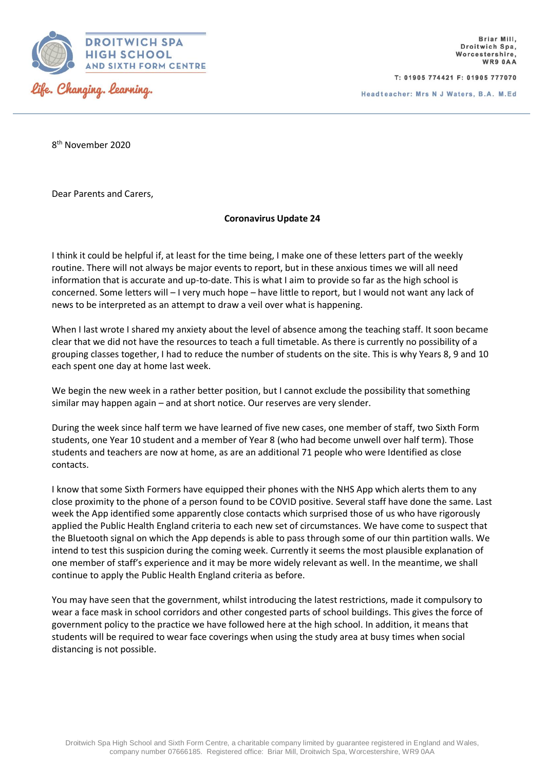

T: 01905 774421 F: 01905 777070

Headteacher: Mrs N J Waters, B.A. M.Ed

8<sup>th</sup> November 2020

Dear Parents and Carers,

## **Coronavirus Update 24**

I think it could be helpful if, at least for the time being, I make one of these letters part of the weekly routine. There will not always be major events to report, but in these anxious times we will all need information that is accurate and up-to-date. This is what I aim to provide so far as the high school is concerned. Some letters will – I very much hope – have little to report, but I would not want any lack of news to be interpreted as an attempt to draw a veil over what is happening.

When I last wrote I shared my anxiety about the level of absence among the teaching staff. It soon became clear that we did not have the resources to teach a full timetable. As there is currently no possibility of a grouping classes together, I had to reduce the number of students on the site. This is why Years 8, 9 and 10 each spent one day at home last week.

We begin the new week in a rather better position, but I cannot exclude the possibility that something similar may happen again – and at short notice. Our reserves are very slender.

During the week since half term we have learned of five new cases, one member of staff, two Sixth Form students, one Year 10 student and a member of Year 8 (who had become unwell over half term). Those students and teachers are now at home, as are an additional 71 people who were Identified as close contacts.

I know that some Sixth Formers have equipped their phones with the NHS App which alerts them to any close proximity to the phone of a person found to be COVID positive. Several staff have done the same. Last week the App identified some apparently close contacts which surprised those of us who have rigorously applied the Public Health England criteria to each new set of circumstances. We have come to suspect that the Bluetooth signal on which the App depends is able to pass through some of our thin partition walls. We intend to test this suspicion during the coming week. Currently it seems the most plausible explanation of one member of staff's experience and it may be more widely relevant as well. In the meantime, we shall continue to apply the Public Health England criteria as before.

You may have seen that the government, whilst introducing the latest restrictions, made it compulsory to wear a face mask in school corridors and other congested parts of school buildings. This gives the force of government policy to the practice we have followed here at the high school. In addition, it means that students will be required to wear face coverings when using the study area at busy times when social distancing is not possible.